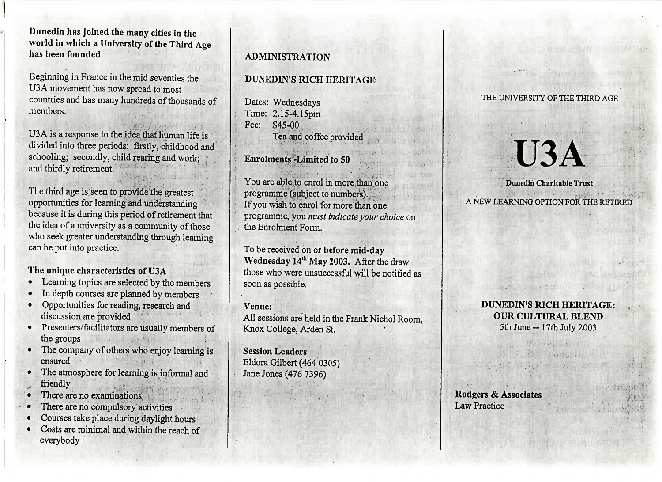Dunedin has joined the many cities in the world in which a University of the Third Agehas been founded

Beginning in France in the mid seventies theUSA movement has now spread to most countries and has many hundreds of thousands ofmembers.

USA is a response to the idea that human life is divided into three periods: firstly, childhood andschooling; secondly, child rearing and work;and thirdly retirement.

The third age is seen to provide the greatest procedured for committee and understanding<br>because it is during this neriod of retirement because it is during this period of retirement that the idea of a university as a community of those who seek greater understanding through learningcan be put into practice.

- The unique characteristics of U3A
- Learning topics are selected by the memb<br>• In depth courses are planned by members In depth courses are planned by members
- Opportunities for reading, research and
- nocession are provided<br>Presenters/facilitators are the groups  $\frac{1}{2}$  is a statistically members of  $\frac{1}{2}$
- The company of others who enjoy learning is
- The atmosphere for learning is informal and
- musically<br>There are
- There are no committeen are
- There are no compulsory activities
- Courses take place during daylight hours Costs are minimal and within the reach ofeverybody

### ADMINISTRATION

#### DUNEDIN'S RICH HERITAGE

Dates: Wednesdays Time: 2.15-4.15pmFee: \$45-00Tea and coffee provided

Enrolments -Limited to 50

You are able to enrol in more than oneprogramme (subject to numbers).If you wish to enrol for more than one programme, you *must indicate your choice* onthe Enrolment Form.

To be received on or before mid-dayWednesday 14 th May 2003. After the draw those who were unsuccessful will be notified assoon as possible.

Venue:

 All sessions are held in the Frank Nichol Room,Knox College, Arden St.

Session Leaders Eldora Gilbert (464 0305)Jane Jones (476 7396)

#### THE UNIVERSITY OF THE THIRD AGE

# **U3A**

#### Dunedin Charitable Trust

A NEW LEARNING OPTION FOR THE RETIRED

#### **DUNEDIN'S RICH HERITAGE:OUR CULTURAL BLEND**5th June-17th July 2003

 $\begin{array}{c} \mathbb{R}^n \times \mathbb{R}^n \times \mathbb{R}^n \times \mathbb{R}^n \times \mathbb{R}^n \times \mathbb{R}^n \times \mathbb{R}^n \times \mathbb{R}^n \times \mathbb{R}^n \times \mathbb{R}^n \times \mathbb{R}^n \times \mathbb{R}^n \times \mathbb{R}^n \times \mathbb{R}^n \times \mathbb{R}^n \times \mathbb{R}^n \times \mathbb{R}^n \times \mathbb{R}^n \times \mathbb{R}^n \times \mathbb{R}^n \times \mathbb{R}^n \times \mathbb$ 

**Rodgers & Associates**Law Practice